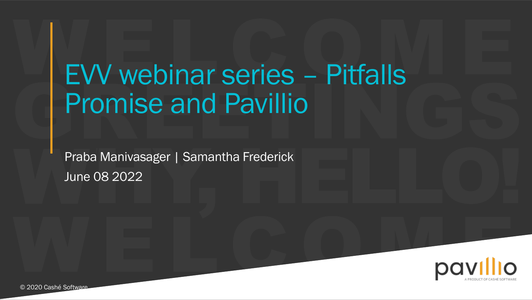#### EVV webinar series – Pitfalls Promise and Pavillio

Praba Manivasager | Samantha Frederick June 08 2022



© 2020 Cashé Software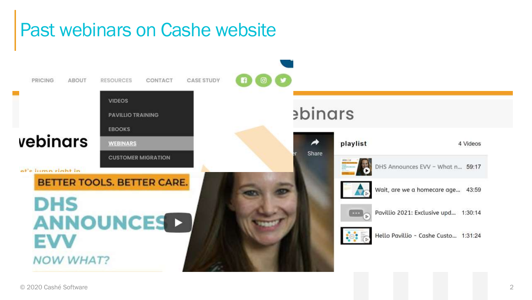#### Past webinars on Cashe website

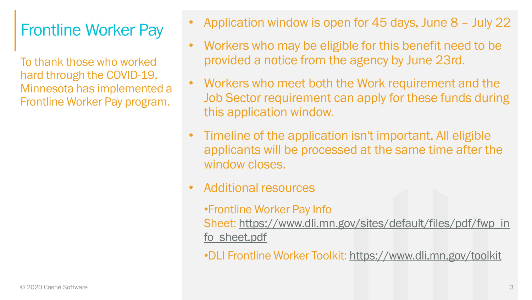#### Frontline Worker Pay

To thank those who worked hard through the COVID-19, Minnesota has implemented a Frontline Worker Pay program.

- Application window is open for 45 days, June 8 July 22
- Workers who may be eligible for this benefit need to be provided a notice from the agency by June 23rd.
- Workers who meet both the Work requirement and the Job Sector requirement can apply for these funds during this application window.
- Timeline of the application isn't important. All eligible applicants will be processed at the same time after the window closes.
- Additional resources

•Frontline Worker Pay Info Sheet: [https://www.dli.mn.gov/sites/default/files/pdf/fwp\\_in](https://www.dli.mn.gov/sites/default/files/pdf/fwp_info_sheet.pdf) fo\_sheet.pdf

•DLI Frontline Worker Toolkit: <https://www.dli.mn.gov/toolkit>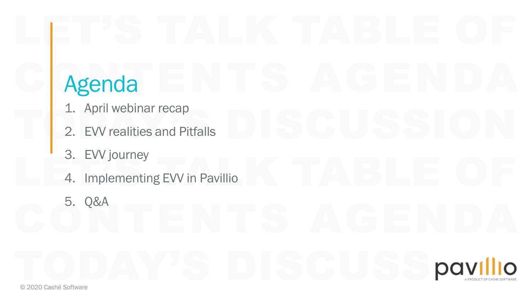## Agenda

- 1. April webinar recap
- 2. EVV realities and Pitfalls
- 3. EVV journey
- 4. Implementing EVV in Pavillio
- 5. Q&A

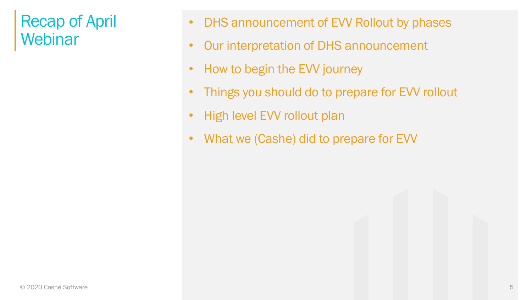#### Recap of April **Webinar**

- DHS announcement of EVV Rollout by phases
- Our interpretation of DHS announcement
- How to begin the EVV journey
- Things you should do to prepare for EVV rollout
- High level EVV rollout plan
- What we (Cashe) did to prepare for EVV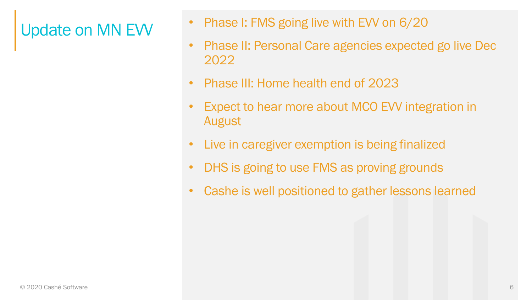#### Update on MN EVV

- Phase I: FMS going live with EVV on 6/20
- Phase II: Personal Care agencies expected go live Dec 2022
- Phase III: Home health end of 2023
- Expect to hear more about MCO EVV integration in August
- Live in caregiver exemption is being finalized
- DHS is going to use FMS as proving grounds
- Cashe is well positioned to gather lessons learned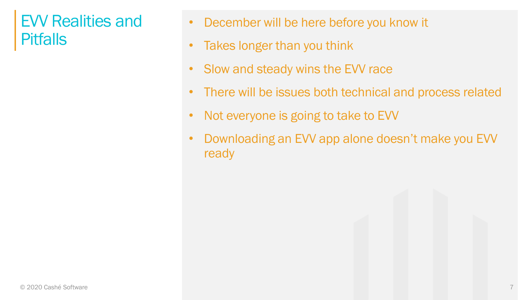#### EVV Realities and **Pitfalls**

- December will be here before you know it
- Takes longer than you think
- Slow and steady wins the EVV race
- There will be issues both technical and process related
- Not everyone is going to take to EVV
- Downloading an EVV app alone doesn't make you EVV ready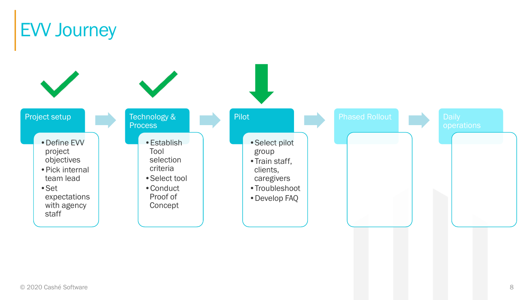

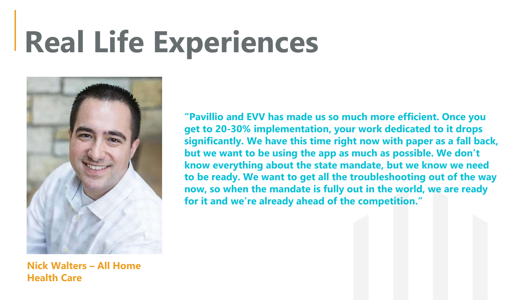### **Real Life Experiences**



**"Pavillio and EVV has made us so much more efficient. Once you get to 20-30% implementation, your work dedicated to it drops significantly. We have this time right now with paper as a fall back, but we want to be using the app as much as possible. We don't know everything about the state mandate, but we know we need to be ready. We want to get all the troubleshooting out of the way now, so when the mandate is fully out in the world, we are ready for it and we're already ahead of the competition."**

**Nick Walters – All Home Health Care**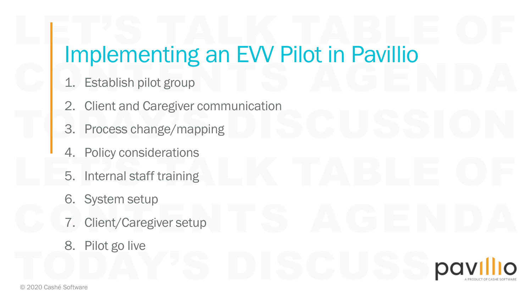#### Implementing an EVV Pilot in Pavillio

- 1. Establish pilot group
- 2. Client and Caregiver communication
- 3. Process change/mapping
- 4. Policy considerations
- 5. Internal staff training
- 6. System setup
- 7. Client/Caregiver setup
- 8. Pilot go live

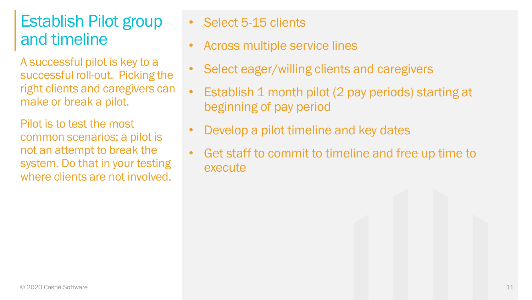#### Establish Pilot group and timeline

A successful pilot is key to a successful roll-out. Picking the right clients and caregivers can make or break a pilot.

Pilot is to test the most common scenarios; a pilot is not an attempt to break the system. Do that in your testing where clients are not involved.

Select 5-15 clients

- Across multiple service lines
- Select eager/willing clients and caregivers
- Establish 1 month pilot (2 pay periods) starting at beginning of pay period
- Develop a pilot timeline and key dates
- Get staff to commit to timeline and free up time to execute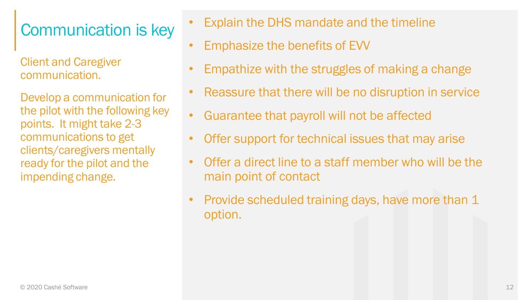#### Communication is key

Client and Caregiver communication.

Develop a communication for the pilot with the following key points. It might take 2-3 communications to get clients/caregivers mentally ready for the pilot and the impending change.

- Explain the DHS mandate and the timeline
- Emphasize the benefits of EVV
- Empathize with the struggles of making a change
- Reassure that there will be no disruption in service
- Guarantee that payroll will not be affected
- Offer support for technical issues that may arise
- Offer a direct line to a staff member who will be the main point of contact
- Provide scheduled training days, have more than 1 option.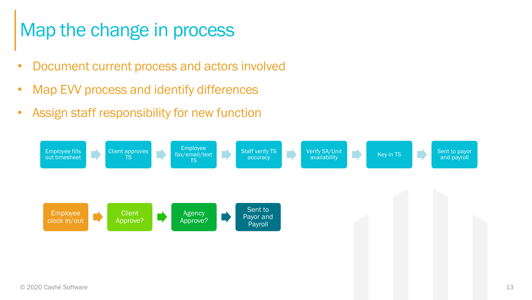#### Map the change in process

- Document current process and actors involved
- Map EVV process and identify differences
- Assign staff responsibility for new function

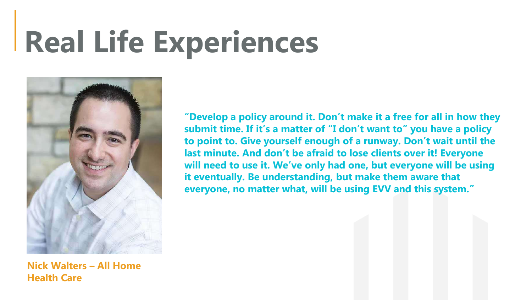### **Real Life Experiences**



**"Develop a policy around it. Don't make it a free for all in how they submit time. If it's a matter of "I don't want to" you have a policy to point to. Give yourself enough of a runway. Don't wait until the last minute. And don't be afraid to lose clients over it! Everyone will need to use it. We've only had one, but everyone will be using it eventually. Be understanding, but make them aware that everyone, no matter what, will be using EVV and this system."**

**Nick Walters – All Home Health Care**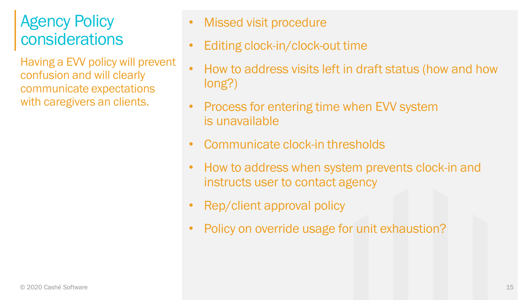#### Agency Policy considerations

Having a EVV policy will prevent confusion and will clearly communicate expectations with caregivers an clients.

- **Missed visit procedure**
- Editing clock-in/clock-out time
- How to address visits left in draft status (how and how long?)
- Process for entering time when EVV system is unavailable
- Communicate clock-in thresholds
- How to address when system prevents clock-in and instructs user to contact agency
- Rep/client approval policy
- Policy on override usage for unit exhaustion?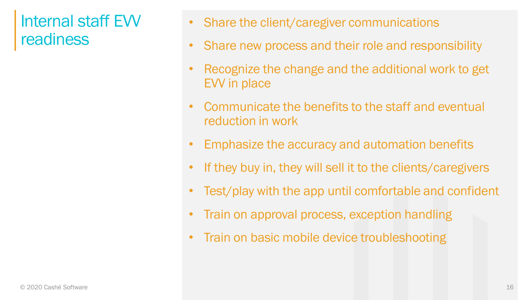#### Internal staff EVV readiness

- Share the client/caregiver communications
- Share new process and their role and responsibility
- Recognize the change and the additional work to get EVV in place
- Communicate the benefits to the staff and eventual reduction in work
- Emphasize the accuracy and automation benefits
- If they buy in, they will sell it to the clients/caregivers
- Test/play with the app until comfortable and confident
- Train on approval process, exception handling
- Train on basic mobile device troubleshooting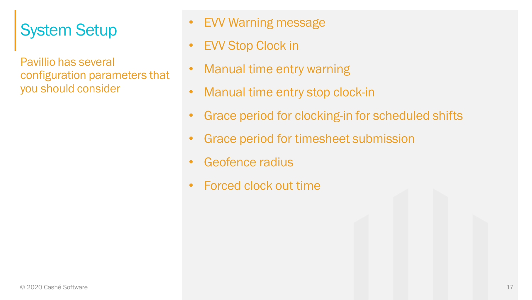#### System Setup

Pavillio has several configuration parameters that you should consider

- EVV Warning message
- EVV Stop Clock in
- Manual time entry warning
- Manual time entry stop clock-in
- Grace period for clocking-in for scheduled shifts
- Grace period for timesheet submission
- Geofence radius
- Forced clock out time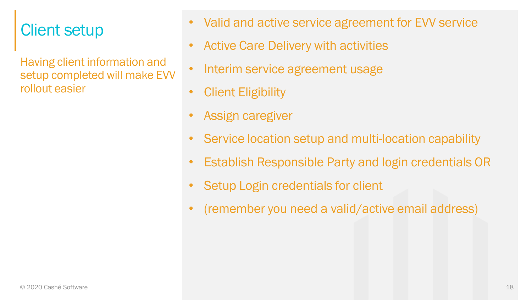#### Client setup

Having client information and setup completed will make EVV rollout easier

- Valid and active service agreement for EVV service
- Active Care Delivery with activities
- Interim service agreement usage
- **Client Eligibility**
- Assign caregiver
- Service location setup and multi-location capability
- Establish Responsible Party and login credentials OR
- Setup Login credentials for client
- (remember you need a valid/active email address)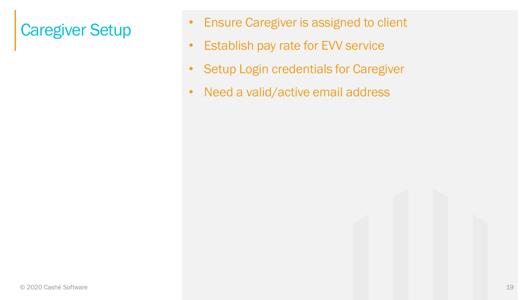#### Caregiver Setup

- Ensure Caregiver is assigned to client
- Establish pay rate for EVV service
- Setup Login credentials for Caregiver
- Need a valid/active email address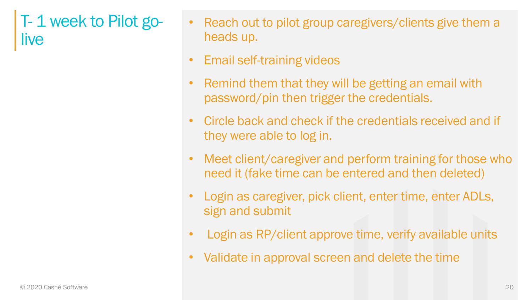#### T- 1 week to Pilot golive

- Reach out to pilot group caregivers/clients give them a heads up.
- Email self-training videos
- Remind them that they will be getting an email with password/pin then trigger the credentials.
- Circle back and check if the credentials received and if they were able to log in.
- Meet client/caregiver and perform training for those who need it (fake time can be entered and then deleted)
- Login as caregiver, pick client, enter time, enter ADLs, sign and submit
- Login as RP/client approve time, verify available units
- Validate in approval screen and delete the time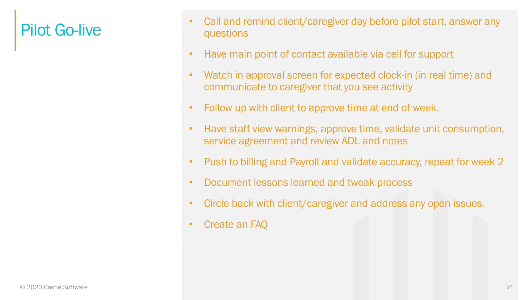#### Pilot Go-live

- Call and remind client/caregiver day before pilot start, answer any questions
- Have main point of contact available via cell for support
- Watch in approval screen for expected clock-in (in real time) and communicate to caregiver that you see activity
- Follow up with client to approve time at end of week.
- Have staff view warnings, approve time, validate unit consumption, service agreement and review ADL and notes
- Push to billing and Payroll and validate accuracy, repeat for week 2
- Document lessons learned and tweak process
- Circle back with client/caregiver and address any open issues.
- Create an FAQ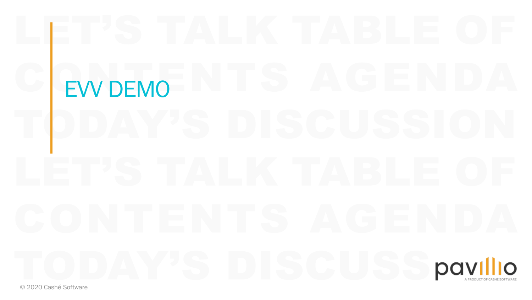# EVV DEMO pavillio

© 2020 Cashé Software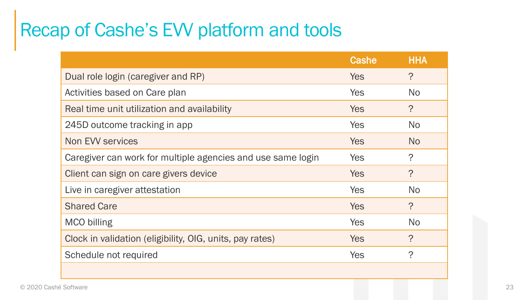#### Recap of Cashe's EVV platform and tools

|                                                             | Cashe      | <b>HHA</b>     |
|-------------------------------------------------------------|------------|----------------|
| Dual role login (caregiver and RP)                          | <b>Yes</b> | $\ddot{?}$     |
| Activities based on Care plan                               | <b>Yes</b> | <b>No</b>      |
| Real time unit utilization and availability                 | <b>Yes</b> | $\overline{?}$ |
| 245D outcome tracking in app                                | <b>Yes</b> | <b>No</b>      |
| <b>Non EVV services</b>                                     | <b>Yes</b> | N <sub>o</sub> |
| Caregiver can work for multiple agencies and use same login | <b>Yes</b> | $\tilde{?}$    |
| Client can sign on care givers device                       | <b>Yes</b> | $\tilde{?}$    |
| Live in caregiver attestation                               | <b>Yes</b> | <b>No</b>      |
| <b>Shared Care</b>                                          | <b>Yes</b> | $\overline{?}$ |
| MCO billing                                                 | <b>Yes</b> | <b>No</b>      |
| Clock in validation (eligibility, OIG, units, pay rates)    | <b>Yes</b> | $\ddot{?}$     |
| Schedule not required                                       | <b>Yes</b> | ?              |
|                                                             |            |                |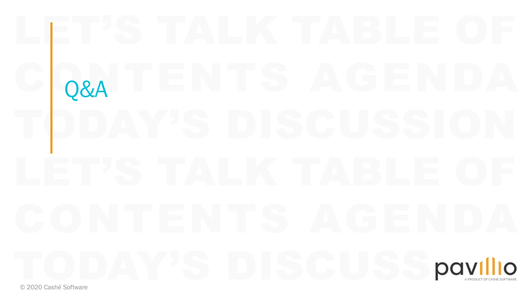## Q&A pavillio A PRODUCT OF CASHÉ SOFTWARE